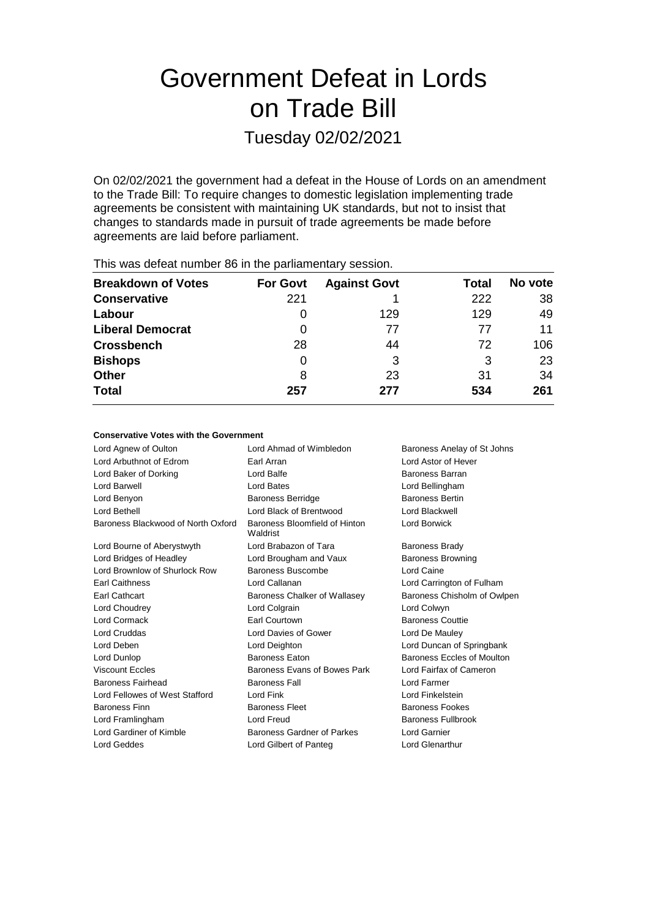# Government Defeat in Lords on Trade Bill

Tuesday 02/02/2021

On 02/02/2021 the government had a defeat in the House of Lords on an amendment to the Trade Bill: To require changes to domestic legislation implementing trade agreements be consistent with maintaining UK standards, but not to insist that changes to standards made in pursuit of trade agreements be made before agreements are laid before parliament.

| <b>Breakdown of Votes</b> | <b>For Govt</b> | <b>Against Govt</b> | Total | No vote |  |
|---------------------------|-----------------|---------------------|-------|---------|--|
| <b>Conservative</b>       | 221             |                     | 222   | 38      |  |
| Labour                    |                 | 129                 | 129   | 49      |  |
| <b>Liberal Democrat</b>   | 0               | 77                  | 77    | 11      |  |
| <b>Crossbench</b>         | 28              | 44                  | 72    | 106     |  |
| <b>Bishops</b>            | 0               | 3                   | 3     | 23      |  |
| <b>Other</b>              | 8               | 23                  | 31    | 34      |  |
| <b>Total</b>              | 257             | 277                 | 534   | 261     |  |
|                           |                 |                     |       |         |  |

This was defeat number 86 in the parliamentary session.

## **Conservative Votes with the Government**

| Lord Ahmad of Wimbledon<br>Baroness Anelay of St Johns |                             |
|--------------------------------------------------------|-----------------------------|
| Earl Arran                                             | Lord Astor of Hever         |
| Lord Balfe                                             | Baroness Barran             |
| <b>Lord Bates</b>                                      | Lord Bellingham             |
| <b>Baroness Berridge</b>                               | <b>Baroness Bertin</b>      |
| Lord Black of Brentwood                                | Lord Blackwell              |
| Baroness Bloomfield of Hinton<br>Waldrist              | Lord Borwick                |
| Lord Brabazon of Tara                                  | <b>Baroness Brady</b>       |
| Lord Brougham and Vaux                                 | <b>Baroness Browning</b>    |
| Baroness Buscombe                                      | Lord Caine                  |
| Lord Callanan                                          | Lord Carrington of Fulham   |
| Baroness Chalker of Wallasey                           | Baroness Chisholm of Owlpen |
| Lord Colgrain                                          | Lord Colwyn                 |
| Earl Courtown                                          | <b>Baroness Couttie</b>     |
| Lord Davies of Gower                                   | Lord De Mauley              |
| Lord Deighton                                          | Lord Duncan of Springbank   |
| <b>Baroness Faton</b>                                  | Baroness Eccles of Moulton  |
| Baroness Evans of Bowes Park                           | Lord Fairfax of Cameron     |
| <b>Baroness Fall</b>                                   | Lord Farmer                 |
| Lord Fink                                              | Lord Finkelstein            |
| <b>Baroness Fleet</b>                                  | <b>Baroness Fookes</b>      |
| Lord Freud                                             | <b>Baroness Fullbrook</b>   |
| Baroness Gardner of Parkes                             | <b>Lord Garnier</b>         |
| Lord Gilbert of Panteg                                 | <b>Lord Glenarthur</b>      |
|                                                        |                             |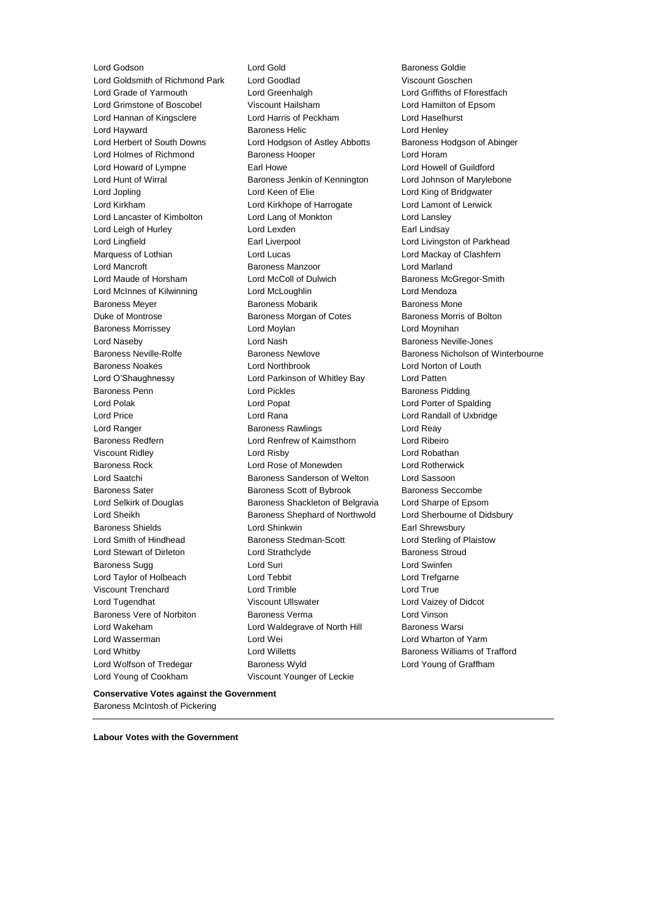Lord Godson Lord Gold Baroness Goldie Lord Young of Cookham Viscount Younger of Leckie

Lord Goldsmith of Richmond Park Lord Goodlad Viscount Goschen Lord Grade of Yarmouth Lord Greenhalgh Lord Griffiths of Fforestfach Lord Grimstone of Boscobel Viscount Hailsham Cord Hamilton of Epsom<br>
Lord Hannan of Kingsclere Lord Harris of Peckham Cord Haselhurst Lord Hannan of Kingsclere Lord Harris of Peckham Lord Haselhurst Lord Hayward Baroness Helic Lord Henley Lord Herbert of South Downs Lord Hodgson of Astley Abbotts Baroness Hodgson of Abinger Lord Holmes of Richmond Baroness Hooper Correct Lord Horam Lord Howard of Lympne **Earl Howe** Earl Howe Lord Howell of Guildford Lord Hunt of Wirral **Baroness Jenkin of Kennington** Lord Johnson of Marylebone Lord Jopling **Lord Keen of Elie** Lord King of Bridgwater Lord Kirkham Lord Kirkhope of Harrogate Lord Lamont of Lerwick Lord Lancaster of Kimbolton Lord Lang of Monkton Lord Lansley Lord Leigh of Hurley **Lord Lexden** Earl Lindsay Lord Lingfield **Earl Liverpool** Earl Liverpool **Lord Livingston of Parkhead** Marquess of Lothian **Lord Lucas** Lord Lucas **Lord Mackay of Clashfern** Lord Mancroft Baroness Manzoor Lord Marland Lord Maude of Horsham Lord McColl of Dulwich Baroness McGregor-Smith Lord McInnes of Kilwinning Lord McLoughlin Lord Mendoza Baroness Meyer **Baroness Mobarik** Baroness Mobarik Baroness Mone Duke of Montrose Baroness Morgan of Cotes Baroness Morris of Bolton Baroness Morrissey **Lord Moylan** Lord Moylan Lord Moynihan Lord Naseby Lord Nash Baroness Neville-Jones Baroness Noakes Lord Northbrook Lord Norton of Louth Lord O'Shaughnessy Lord Parkinson of Whitley Bay Lord Patten Baroness Penn **Connect Connect Connect Connect Connect Connect Connect Connect Connect Connect Connect Connect Connect Connect Connect Connect Connect Connect Connect Connect Connect Connect Connect Connect Connect Connect** Lord Polak Lord Popat Lord Porter of Spalding Lord Price Lord Rana Lord Randall of Uxbridge Lord Ranger **Baroness Rawlings** Lord Reay Ranger **Lord Reay** Baroness Redfern Lord Renfrew of Kaimsthorn Lord Ribeiro Viscount Ridley Lord Risby Lord Robathan Baroness Rock Lord Rose of Monewden Lord Rotherwick Lord Saatchi **Baroness Sanderson of Welton** Lord Sassoon Baroness Sater **Baroness Scott of Bybrook** Baroness Seccombe Lord Selkirk of Douglas Baroness Shackleton of Belgravia Lord Sharpe of Epsom Lord Sheikh Baroness Shephard of Northwold Lord Sherbourne of Didsbury Baroness Shields **Lord Shinkwin** Earl Shrewsbury Lord Smith of Hindhead Baroness Stedman-Scott Lord Sterling of Plaistow Lord Stewart of Dirleton **Lord Strathclyde** Baroness Stroud Baroness Sugg **Lord Suri Lord Suri Lord Swinfen** Lord Taylor of Holbeach **Lord Tebbit** Lord Trefgarne Viscount Trenchard Lord Trimble Lord True Lord Tugendhat **Night Communist Communist Communist Viscount Ullswater Lord Vaizey of Didcot** Baroness Vere of Norbiton Baroness Verma Lord Vinson Lord Wakeham **Lord Waldegrave of North Hill** Baroness Warsi Lord Wasserman Lord Wei Lord Wharton of Yarm Lord Whitby Lord Willetts Baroness Williams of Trafford Lord Wolfson of Tredegar **Baroness Wyld** Lord Young of Graffham

Baroness Neville-Rolfe **Baroness Newlove** Baroness Newlove **Baroness Nicholson of Winterbourne** 

**Conservative Votes against the Government** Baroness McIntosh of Pickering

**Labour Votes with the Government**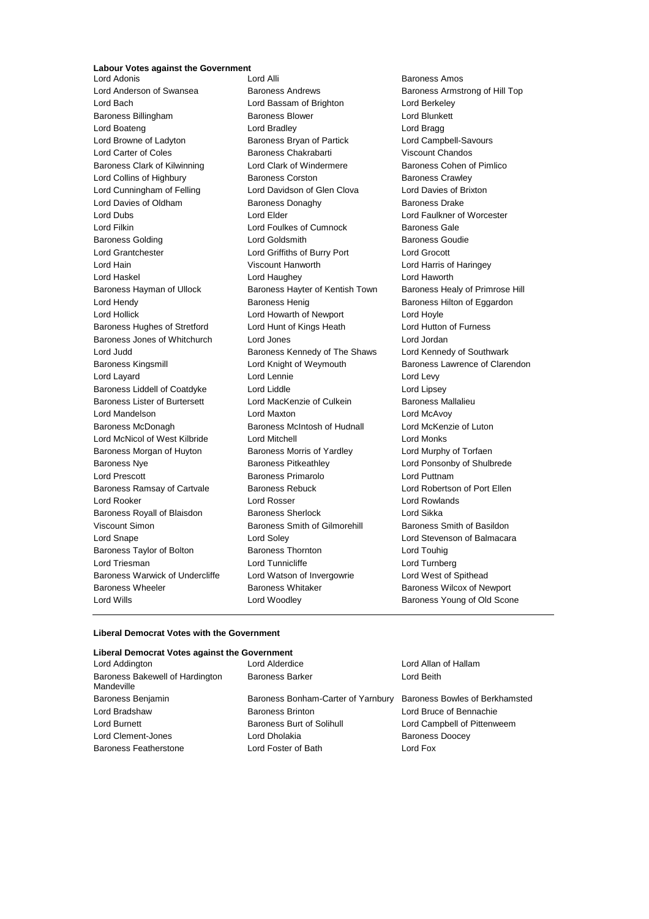## **Labour Votes against the Government**

Lord Anderson of Swansea Baroness Andrews Baroness Armstrong of Hill Top Lord Bach Lord Bassam of Brighton Lord Berkeley Baroness Billingham Baroness Blower Lord Blunkett Lord Boateng Lord Bradley Lord Bragg Lord Browne of Ladyton Baroness Bryan of Partick Lord Campbell-Savours Lord Carter of Coles Baroness Chakrabarti Viscount Chandos Baroness Clark of Kilwinning **Lord Clark of Windermere** Baroness Cohen of Pimlico Lord Collins of Highbury **Baroness Corston** Baroness Corston Baroness Crawley Lord Cunningham of Felling Lord Davidson of Glen Clova Lord Davies of Brixton Lord Davies of Oldham Baroness Donaghy Baroness Davies Baroness Drake Lord Dubs Lord Elder Lord Faulkner of Worcester Lord Filkin **Lord Foulkes of Cumnock** Baroness Gale Baroness Golding **Baroness** Goudie Lord Goldsmith **Baroness** Goudie Lord Grantchester Lord Griffiths of Burry Port Lord Grocott Lord Hain Viscount Hanworth Lord Harris of Haringey Lord Haskel Lord Haughey Lord Haworth Baroness Hayman of Ullock Baroness Hayter of Kentish Town Baroness Healy of Primrose Hill Lord Hendy **Baroness Henig** Baroness Henig Baroness Hilton of Eggardon Lord Hollick Lord Howarth of Newport Lord Hoyle Baroness Hughes of Stretford Lord Hunt of Kings Heath Lord Hutton of Furness Baroness Jones of Whitchurch Lord Jones Lord Jordan Lord Judd **Baroness Kennedy of The Shaws** Lord Kennedy of Southwark Baroness Kingsmill **Example 2** Lord Knight of Weymouth Baroness Lawrence of Clarendon Lord Layard **Lord Lennie** Lord Lennie **Lord Levy** Baroness Liddell of Coatdyke Lord Liddle Lord Lipsey Baroness Lister of Burtersett Lord MacKenzie of Culkein Baroness Mallalieu Lord Mandelson Lord Maxton Lord McAvoy Baroness McDonagh Baroness McIntosh of Hudnall Lord McKenzie of Luton Lord McNicol of West Kilbride Lord Mitchell Lord Monks Baroness Morgan of Huyton Baroness Morris of Yardley **Lord Murphy of Torfaen** Baroness Nye **Baroness Pitkeathley Baroness Pritkeathley Lord Ponsonby of Shulbrede** Lord Prescott **Baroness Primarolo** Lord Puttnam Baroness Ramsay of Cartvale **Baroness Rebuck Lord Robertson of Port Ellen** Lord Rooker Lord Rosser Lord Rowlands Baroness Royall of Blaisdon Baroness Sherlock **Baroness** Sherlock Lord Sikka Viscount Simon **Baroness Smith of Gilmorehill** Baroness Smith of Basildon Lord Snape Lord Soley Lord Stevenson of Balmacara Baroness Taylor of Bolton **Baroness Thornton** Baroness Thornton **Lord Touhig** Lord Triesman Lord Tunnicliffe Lord Turnberg Baroness Warwick of Undercliffe Lord Watson of Invergowrie Lord West of Spithead Baroness Wheeler **Baroness Whitaker** Baroness Whitaker **Baroness Wilcox of Newport** Lord Wills Lord Woodley Baroness Young of Old Scone

Lord Adonis Lord Alli Baroness Amos

### **Liberal Democrat Votes with the Government**

## **Liberal Democrat Votes against the Government**

| Lord Addington                                | Lord Alderdice                     | Lord Allan of Hallam           |
|-----------------------------------------------|------------------------------------|--------------------------------|
| Baroness Bakewell of Hardington<br>Mandeville | <b>Baroness Barker</b>             | Lord Beith                     |
| Baroness Benjamin                             | Baroness Bonham-Carter of Yarnbury | Baroness Bowles of Berkhamsted |
| Lord Bradshaw                                 | <b>Baroness Brinton</b>            | Lord Bruce of Bennachie        |
| Lord Burnett                                  | <b>Baroness Burt of Solihull</b>   | Lord Campbell of Pittenweem    |
| Lord Clement-Jones                            | Lord Dholakia                      | <b>Baroness Doocey</b>         |
| Baroness Featherstone                         | Lord Foster of Bath                | Lord Fox                       |
|                                               |                                    |                                |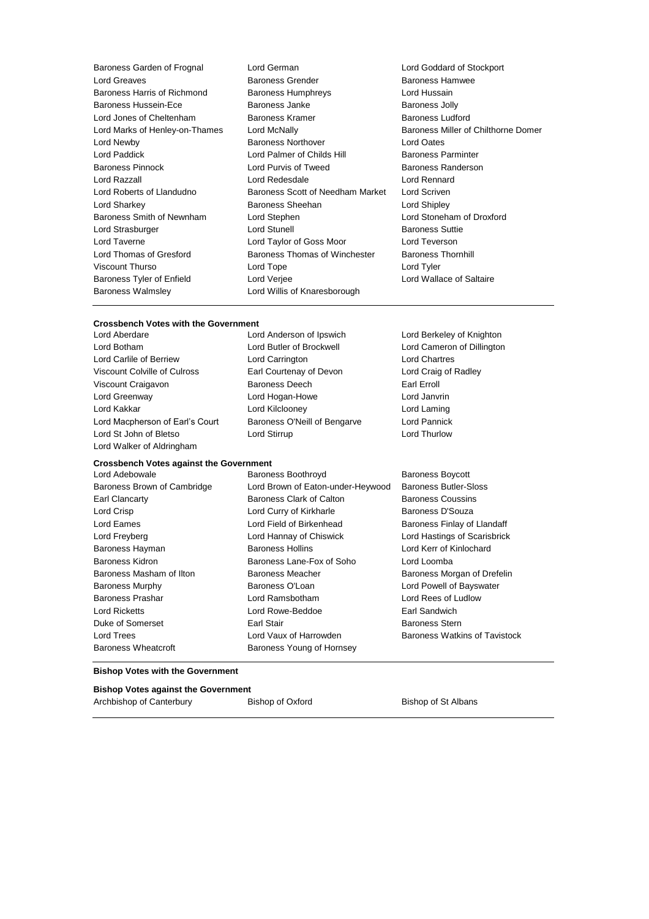| Baroness Garden of Frognal     | Lord German<br>Lord Goddard of Stockport |                                     |
|--------------------------------|------------------------------------------|-------------------------------------|
| <b>Lord Greaves</b>            | <b>Baroness Grender</b>                  | Baroness Hamwee                     |
| Baroness Harris of Richmond    | Baroness Humphreys                       | Lord Hussain                        |
| Baroness Hussein-Ece           | Baroness Janke                           | <b>Baroness Jolly</b>               |
| Lord Jones of Cheltenham       | Baroness Kramer                          | <b>Baroness Ludford</b>             |
| Lord Marks of Henley-on-Thames | Lord McNally                             | Baroness Miller of Chilthorne Domer |
| Lord Newby                     | <b>Baroness Northover</b>                | Lord Oates                          |
| Lord Paddick                   | Lord Palmer of Childs Hill               | <b>Baroness Parminter</b>           |
| <b>Baroness Pinnock</b>        | Lord Purvis of Tweed                     | Baroness Randerson                  |
| Lord Razzall                   | Lord Redesdale                           | Lord Rennard                        |
| Lord Roberts of Llandudno      | Baroness Scott of Needham Market         | Lord Scriven                        |
| Lord Sharkey                   | Baroness Sheehan                         | Lord Shipley                        |
| Baroness Smith of Newnham      | Lord Stephen                             | Lord Stoneham of Droxford           |
| Lord Strasburger               | Lord Stunell                             | <b>Baroness Suttie</b>              |
| Lord Taverne                   | Lord Taylor of Goss Moor                 | Lord Teverson                       |
| Lord Thomas of Gresford        | Baroness Thomas of Winchester            | <b>Baroness Thornhill</b>           |
| Viscount Thurso                | Lord Tope                                | Lord Tyler                          |
| Baroness Tyler of Enfield      | Lord Verjee                              | Lord Wallace of Saltaire            |
| <b>Baroness Walmsley</b>       | Lord Willis of Knaresborough             |                                     |
|                                |                                          |                                     |

# **Crossbench Votes with the Government**<br>Lord Aberdare Lord Anderson of Ipswich

**Crossbench Votes against the Government**

Lord Botham Lord Butler of Brockwell Lord Cameron of Dillington Lord Carlile of Berriew Lord Carrington Lord Chartres Viscount Colville of Culross Earl Courtenay of Devon Lord Craig of Radley Viscount Craigavon **Baroness Deech** Earl Erroll Lord Greenway Lord Hogan-Howe Lord Janvrin Lord Kakkar Lord Kilclooney Lord Laming Lord Macpherson of Earl's Court Baroness O'Neill of Bengarve Lord Pannick Lord St John of Bletso Lord Stirrup Lord Thurlow Lord Walker of Aldringham

Lord Berkeley of Knighton

Lord Adebowale **Baroness Boothroyd** Baroness Boothroyd Baroness Boycott

# Baroness Wheatcroft **Baroness Young of Hornsey**

Baroness Brown of Cambridge Lord Brown of Eaton-under-Heywood Baroness Butler-Sloss Earl Clancarty Baroness Clark of Calton Baroness Coussins Lord Crisp **Lord Curry of Kirkharle** Baroness D'Souza Lord Eames **Lord Field of Birkenhead** Baroness Finlay of Llandaff Lord Freyberg Lord Hannay of Chiswick Lord Hastings of Scarisbrick Baroness Hayman Baroness Hollins Lord Kerr of Kinlochard Baroness Kidron **Baroness Lane-Fox of Soho** Lord Loomba Baroness Masham of Ilton Baroness Meacher Baroness Morgan of Drefelin Baroness Murphy Baroness O'Loan Lord Powell of Bayswater Baroness Prashar Lord Ramsbotham Lord Rees of Ludlow Lord Ricketts Lord Rowe-Beddoe Earl Sandwich Duke of Somerset Earl Stair Baroness Stern Lord Trees **Lord Vaux of Harrowden** Baroness Watkins of Tavistock

## **Bishop Votes with the Government**

## **Bishop Votes against the Government**

Archbishop of Canterbury **Bishop of Oxford** Bishop of St Albans